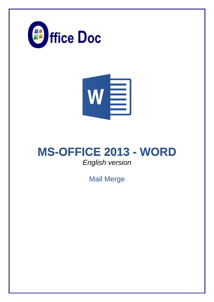



# **MS-OFFICE 2013 - WORD** *English version*

Mail Merge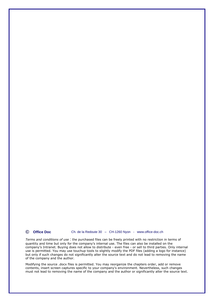**© Office Doc** Ch. de la Redoute 30 – CH-1260 Nyon - www.office-doc.ch

*Terms and conditions of use* : the purchased files can be freely printed with no restriction in terms of quantity and time but only for the company's internal use. The files can also be installed on the company's Intranet. Buying does not allow to distribute - even free - or sell to third parties. Only internal use is permitted. You may use touchup tools to slightly modify the PDF files (adding a logo for instance) but only if such changes do not significantly alter the source text and do not lead to removing the name of the company and the author.

Modifying the source .docx files is permitted. You may reorganize the chapters order, add or remove contents, insert screen captures specific to your company's environment. Nevertheless, such changes must not lead to removing the name of the company and the author or significantly alter the source text.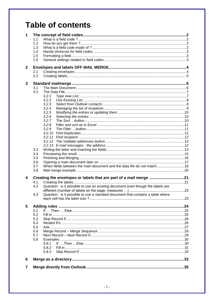# **Table of contents**

| 1            |     |                                                                                  |     |
|--------------|-----|----------------------------------------------------------------------------------|-----|
|              | 1.1 |                                                                                  |     |
|              | 1.2 |                                                                                  |     |
|              | 1.3 |                                                                                  |     |
|              | 1.4 |                                                                                  |     |
|              | 1.5 |                                                                                  |     |
|              | 1.6 |                                                                                  |     |
|              |     |                                                                                  |     |
| $\mathbf{2}$ |     |                                                                                  |     |
|              | 2.1 |                                                                                  |     |
|              | 2.2 |                                                                                  |     |
|              |     |                                                                                  |     |
| 3            |     |                                                                                  |     |
|              | 3.1 |                                                                                  |     |
|              | 3.2 |                                                                                  |     |
|              |     | 3.2.1                                                                            |     |
|              |     | 3.2.2                                                                            |     |
|              |     | 3.2.3                                                                            |     |
|              |     | 3.2.4                                                                            |     |
|              |     | 3.2.5                                                                            |     |
|              |     | 3.2.6                                                                            |     |
|              |     | 3.2.7                                                                            |     |
|              |     | 3.2.8                                                                            |     |
|              |     | 3.2.9                                                                            |     |
|              |     |                                                                                  |     |
|              |     |                                                                                  |     |
|              |     |                                                                                  |     |
|              |     |                                                                                  |     |
|              | 3.3 |                                                                                  |     |
|              | 3.4 |                                                                                  |     |
|              | 3.5 |                                                                                  |     |
|              | 3.6 |                                                                                  |     |
|              | 3.7 | When fields between the main document and the data file do not match 18          |     |
|              | 3.8 |                                                                                  |     |
|              |     |                                                                                  |     |
| 4            |     | Creating the envelopes or labels that are part of a mail merge 21                |     |
|              | 4.1 |                                                                                  |     |
|              | 4.2 | Question : is it possible to use an existing document even though the labels are |     |
|              |     |                                                                                  |     |
|              | 4.3 | Question : is it possible to use a standard document that contains a table where |     |
|              |     |                                                                                  |     |
|              |     |                                                                                  |     |
| 5            |     |                                                                                  |     |
|              | 5.1 |                                                                                  |     |
|              | 5.2 |                                                                                  |     |
|              | 5.3 |                                                                                  |     |
|              | 5.4 |                                                                                  |     |
|              | 5.5 |                                                                                  |     |
|              | 5.6 |                                                                                  |     |
|              | 5.7 |                                                                                  |     |
|              | 5.8 |                                                                                  |     |
|              |     | 5.8.1                                                                            |     |
|              |     | 5.8.2                                                                            |     |
|              |     | 5.8.3                                                                            |     |
|              |     |                                                                                  |     |
| 6            |     |                                                                                  |     |
|              |     |                                                                                  |     |
| 7            |     |                                                                                  | .35 |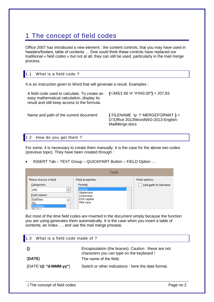# <span id="page-3-0"></span>1 The concept of field codes

Office 2007 has introduced a new element : the content controls, that you may have used in headers/footers, table of contents … One could think these controls have replaced our traditional « field codes » but not at all, they can still be used, particularly in the mail merge process.

<span id="page-3-1"></span>

|   | 1.1 What is a field code?                                                                                       |  |
|---|-----------------------------------------------------------------------------------------------------------------|--|
| . | the contract of the contract of the contract of the contract of the contract of the contract of the contract of |  |

It is an instruction given to Word that will generate a result. Examples :

A field code used to calculate. To create an easy mathematical calculation, display its result and still keep access to the formula. **{***=345/1.66 \# "#'##0.00"***}** = 207.83

Name and path of the current document  $\{$  FILENAME \p \\* MERGEFORMAT  $\}$  = D:\Office 2013\Word\WD-2013-English-MailMerge.docx

# <span id="page-3-2"></span>1.2 How do you get them ?

For some, it is necessary to create them manually. It is the case for the above two codes (previous topic). They have been created through :

INSERT Tab – TEXT Group – QUICKPART Button – FIELD Option …

|                                                                                                                                                   | Field                                                                                                                           |                                              |
|---------------------------------------------------------------------------------------------------------------------------------------------------|---------------------------------------------------------------------------------------------------------------------------------|----------------------------------------------|
| Please choose a field<br>Categories:<br>(AII)<br>$\mathbf{v}$<br><b>Field names:</b><br>EditTime<br>۸<br>Eq<br><b>FileName</b><br><b>EileCive</b> | <b>Field properties</b><br>Format:<br>(none)<br>$\mathcal{O}_X$<br><b>Uppercase</b><br>Lowercase<br>First capital<br>Title case | <b>Field options</b><br>Add path to filename |

But most of the time field codes are inserted in the document simply because the function you are using generates them automatically. It is the case when you insert a table of contents, an index …. and use the mail merge process.

<span id="page-3-3"></span>

| What is a field code made of ?<br>1.3 |                                                                                                 |
|---------------------------------------|-------------------------------------------------------------------------------------------------|
|                                       | Encapsulation (the braces). Caution: these are not<br>characters you can type on the keyboard ! |
| $\{DATE\}$                            | The name of the field.                                                                          |
| $\{DATE \setminus @ "d-MMM-yy"\}$     | Switch or other indications - here the date format.                                             |
|                                       |                                                                                                 |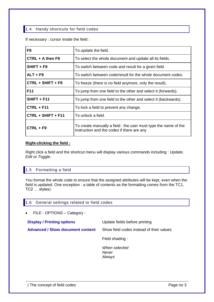# <span id="page-4-0"></span>1.4 Handy shortcuts for field codes

If necessary : cursor inside the field :

| F <sub>9</sub>       | To update the field.                                                                                          |
|----------------------|---------------------------------------------------------------------------------------------------------------|
| $CTRL + A$ then F9   | To select the whole document and update all its fields.                                                       |
| SHIFT + F9           | To switch between code and result for a given field.                                                          |
| ALT + F9             | To switch between code/result for the whole document codes.                                                   |
| $CTRL + SHIFT + F9$  | To freeze (there is no field anymore, only the result).                                                       |
| F11                  | To jump from one field to the other and select it (forwards).                                                 |
| SHIFT + F11          | To jump from one field to the other and select it (backwards).                                                |
| $CTRL + F11$         | To lock a field to prevent any change.                                                                        |
| $CTRL + SHIFT + F11$ | To unlock a field.                                                                                            |
| CTRL + F9            | To create manually a field : the user must type the name of the<br>instruction and the codes if there are any |

## **Right-clicking the field :**

Right click a field and the shortcut menu will display various commands including : *Update, Edit* or *Toggle*.

# <span id="page-4-1"></span>1.5 Formatting a field

You format the whole code to ensure that the assigned attributes will be kept, even when the field is updated. One exception : a table of contents as the formatting comes from the TC1, TC2 … styles).

# <span id="page-4-2"></span>1.6 General settings related to field codes

• FILE - OPTIONS - Category :

| <b>Display / Printing options</b> | Update fields before printing            |
|-----------------------------------|------------------------------------------|
| Advanced / Show document content  | Show field codes instead of their values |
|                                   | Field shading:                           |
|                                   | When selected<br>Never<br>Always         |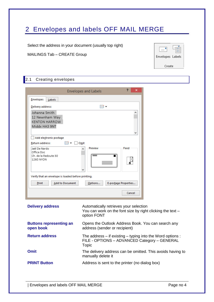# <span id="page-5-0"></span>2 Envelopes and labels OFF MAIL MERGE

Select the address in your document (usually top right)

MAILINGS Tab – CREATE Group



# <span id="page-5-1"></span>2.1 Creating envelopes

|                                                                          | <b>Envelopes and Labels</b>                               | 2<br>× |
|--------------------------------------------------------------------------|-----------------------------------------------------------|--------|
| <b>Envelopes</b><br>Labels                                               |                                                           |        |
| Delivery address:                                                        | $\mathbb{R}$ +                                            |        |
| Johanna Smith<br>12 Newnham Way<br><b>KENTON HARROW</b><br>Middx HA3 9NT |                                                           | ́<br>v |
| Add electronic postage<br>Return address:                                | $\boxed{m}$ $\bullet$ $\boxed{m}$ Omit<br>Preview         | Feed   |
| Jaël De Nardo<br>Office Doc<br>Ch. de la Redoute 30<br>1260 NYON         | v                                                         |        |
| Verify that an envelope is loaded before printing.                       |                                                           |        |
| Print                                                                    | <b>Add to Document</b><br>E-postage Properties<br>Options |        |
|                                                                          |                                                           | Cancel |

| <b>Delivery address</b>                     | Automatically retrieves your selection<br>You can work on the font size by right clicking the text -<br>option FONT     |
|---------------------------------------------|-------------------------------------------------------------------------------------------------------------------------|
| <b>Buttons representing an</b><br>open book | Opens the Outlook Address Book. You can search any<br>address (sender or recipient)                                     |
| <b>Return address</b>                       | The address $-$ if existing $-$ typing into the Word options :<br>FILE - OPTIONS - ADVANCED Category - GENERAL<br>Topic |
| <b>Omit</b>                                 | The delivery address can be omitted. This avoids having to<br>manually delete it                                        |
| <b>PRINT Button</b>                         | Address is sent to the printer (no dialog box)                                                                          |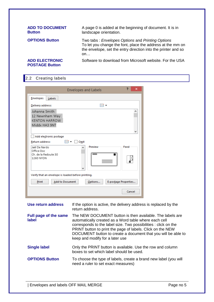| <b>ADD TO DOCUMENT</b><br><b>Button</b>        | A page 0 is added at the beginning of document. It is in<br>landscape orientation.                                                                                                    |
|------------------------------------------------|---------------------------------------------------------------------------------------------------------------------------------------------------------------------------------------|
| <b>OPTIONS Button</b>                          | Two tabs: Envelopes Options and Printing Options<br>To let you change the font, place the address at the mm on<br>the envelope, set the entry direction into the printer and so<br>on |
| <b>ADD ELECTRONIC</b><br><b>POSTAGE Button</b> | Software to download from Microsoft website. For the USA                                                                                                                              |

# <span id="page-6-0"></span>2.2 Creating labels

|                                                                          |                     | <b>Envelopes and Labels</b> | 2<br>×               |
|--------------------------------------------------------------------------|---------------------|-----------------------------|----------------------|
| <b>Envelopes</b><br>Labels                                               |                     |                             |                      |
| Delivery address:                                                        |                     | BB ▼                        |                      |
| Johanna Smith<br>12 Newnham Way<br><b>KENTON HARROW</b><br>Middx HA3 9NT |                     |                             | ́<br>v               |
| Add electronic postage<br>Return address:<br>Jaël De Nardo               | EE –<br>$\Box$ Omit | Preview                     | Feed                 |
| Office Doc<br>Ch. de la Redoute 30<br>1260 NYON                          | v                   |                             |                      |
| Verify that an envelope is loaded before printing.                       |                     |                             |                      |
| Print<br><b>Add to Document</b>                                          |                     | Options                     | E-postage Properties |
|                                                                          |                     |                             | Cancel               |

| Use return address             | If the option is active, the delivery address is replaced by the<br>return address.                                                                                                                                                                                                                                                                     |
|--------------------------------|---------------------------------------------------------------------------------------------------------------------------------------------------------------------------------------------------------------------------------------------------------------------------------------------------------------------------------------------------------|
| Full page of the same<br>label | The NEW DOCUMENT button is then available. The labels are<br>automatically created as a Word table where each cell<br>corresponds to the label size. Two possibilities : click on the<br>PRINT button to print the page of labels. Click on the NEW<br>DOCUMENT button to create a document that you will be able to<br>keep and modify for a later use |
| <b>Single label</b>            | Only the PRINT button is available. Use the row and column<br>boxes to set which label should be used.                                                                                                                                                                                                                                                  |
| <b>OPTIONS Button</b>          | To choose the type of labels, create a brand new label (you will<br>need a ruler to set exact measures)                                                                                                                                                                                                                                                 |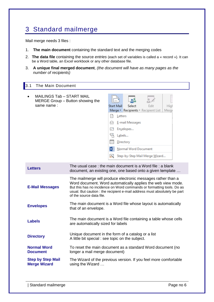# <span id="page-7-0"></span>3 Standard mailmerge

Mail merge needs 3 files :

- 1. **The main document** containing the standard text and the merging codes
- 2. **The data file** containing the source *entries* (each set of variables is called a « record »). It can be a Word table, an Excel workbook or any other database file.
- 3. **A unique final merged document**, *(the document will have as many pages as the number of recipients)*

<span id="page-7-1"></span>

| 3.1       | The Main Document                                                           |                   |         |                      |                                             |               |
|-----------|-----------------------------------------------------------------------------|-------------------|---------|----------------------|---------------------------------------------|---------------|
| $\bullet$ | MAILINGS Tab – START MAIL<br>MERGE Group – Button showing the               |                   |         |                      |                                             |               |
|           | same name:                                                                  | <b>Start Mail</b> |         | Select               | Edit<br>Merge v Recipients v Recipient List | High<br>Merge |
|           |                                                                             |                   | Letters |                      |                                             |               |
|           |                                                                             |                   |         | E-mail Messages      |                                             |               |
|           |                                                                             | $=$               |         | Envelopes            |                                             |               |
|           |                                                                             | 瑥                 |         | Labels               |                                             |               |
|           |                                                                             |                   |         | Directory            |                                             |               |
|           |                                                                             | W                 |         | Normal Word Document |                                             |               |
|           |                                                                             |                   |         |                      | Step-by-Step Mail Merge Wizard              |               |
|           | The usual case: the main document is a Word file: a blank                   |                   |         |                      |                                             |               |
|           | <b>Letters</b><br>desument, on ovieting and and board onto a given template |                   |         |                      |                                             |               |

| <b>Letters</b>                                  | <u>HIG USUAI CASE. THE HIAIH QUCUHIGHT IS A WULU HIG . A DIAHR</u><br>document, an existing one, one based onto a given template                                                                                                                                                                               |
|-------------------------------------------------|----------------------------------------------------------------------------------------------------------------------------------------------------------------------------------------------------------------------------------------------------------------------------------------------------------------|
| <b>E-Mail Messages</b>                          | The mailmerge will produce electronic messages rather than a<br>Word document. Word automatically applies the web view mode.<br>But this has no incidence on Word commands or formatting tools. Do as<br>usual. But caution : the recipient e-mail address must absolutely be part<br>of the source data file. |
| <b>Envelopes</b>                                | The main document is a Word file whose layout is automatically<br>that of an envelope.                                                                                                                                                                                                                         |
| <b>Labels</b>                                   | The main document is a Word file containing a table whose cells<br>are automatically sized for labels                                                                                                                                                                                                          |
| <b>Directory</b>                                | Unique document in the form of a catalog or a list<br>A little bit special: see topic on the subject.                                                                                                                                                                                                          |
| <b>Normal Word</b><br><b>Document</b>           | To reset the main document as a standard Word document (no<br>longer a mail merge document)                                                                                                                                                                                                                    |
| <b>Step by Step Mail</b><br><b>Merge Wizard</b> | The Wizard of the previous version. If you feel more comfortable<br>using the Wizard                                                                                                                                                                                                                           |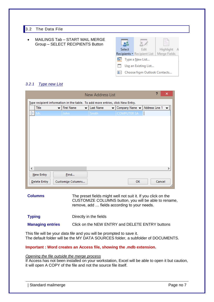# <span id="page-8-0"></span>3.2 The Data File

 MAILINGS Tab – START MAIL MERGE Group – SELECT RECIPIENTS Button

| Select                               |                      | Edit                        | Highlight    |  |  |  |  |
|--------------------------------------|----------------------|-----------------------------|--------------|--|--|--|--|
|                                      |                      | Recipients * Recipient List | Merge Fields |  |  |  |  |
|                                      |                      | Type a New List             |              |  |  |  |  |
| m                                    | Use an Existing List |                             |              |  |  |  |  |
| Choose from Outlook Contacts<br>I&=I |                      |                             |              |  |  |  |  |

# <span id="page-8-1"></span>*3.2.1 Type new List*

|                          |                                                                                | <b>New Address List</b> |                    | ?              | ×             |
|--------------------------|--------------------------------------------------------------------------------|-------------------------|--------------------|----------------|---------------|
|                          | Type recipient information in the table. To add more entries, click New Entry. |                         |                    |                |               |
| Title                    | <b>First Name</b><br>$\overline{\phantom{a}}$                                  | Last Name<br>▼          | Company Name v     | Address Line 1 |               |
| D<br>Mr.                 | John.                                                                          | Smith                   | <b>COMPUTER SA</b> |                |               |
|                          |                                                                                |                         |                    |                |               |
|                          |                                                                                |                         |                    |                |               |
|                          |                                                                                |                         |                    |                |               |
|                          |                                                                                |                         |                    |                |               |
|                          |                                                                                |                         |                    |                |               |
|                          |                                                                                |                         |                    |                |               |
|                          |                                                                                |                         |                    |                |               |
|                          |                                                                                |                         |                    |                |               |
|                          |                                                                                |                         |                    |                |               |
| $\overline{\phantom{a}}$ |                                                                                |                         |                    |                | $\rightarrow$ |
| New Entry                | Eind                                                                           |                         |                    |                |               |
| Delete Entry             | Customize Columns                                                              |                         | <b>OK</b>          | Cancel         |               |

**Columns** The preset fields might well not suit it. If you click on the CUSTOMIZE COLUMNS button, you will be able to rename, remove, add … fields according to your needs.

| <b>Typing</b>           | Directly in the fields                          |
|-------------------------|-------------------------------------------------|
| <b>Managing entries</b> | Click on the NEW ENTRY and DELETE ENTRY buttons |

This file will be your *data file* and you will be prompted to save it. The default folder will be the MY DATA SOURCES folder, a subfolder of DOCUMENTS.

# **Important : Word creates an Access file, showing the .mdb extension.**

### *Opening the file outside the merge process*

If Access has not been installed on your workstation, Excel will be able to open it but caution, it will open A COPY of the file and not the source file itself.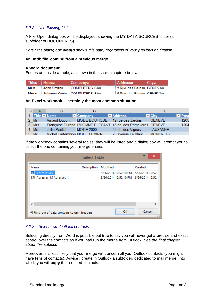# <span id="page-9-0"></span>*3.2.2 Use Existing List*

A File-Open dialog box will be displayed, showing the MY DATA SOURCES folder (a subfolder of DOCUMENTS)

*Note : the dialog box always shows this path, regardless of your previous navigation.*

### **An .mdb file, coming from a previous merge**

### **A Word document**

Entries are inside a table, as shown in the screen capture below :

| i Title¤ ∶Name¤ | Company¤                                    | <b>Address¤</b>           | $ $ Cityn |
|-----------------|---------------------------------------------|---------------------------|-----------|
| Mr.¤            | ⊟ John Smith¤ COMPUTERS SA¤                 | ⊹5 Rue-des Bains¤⊟GENEVA¤ |           |
| Mre n           | $\Box$ Iohanna-Kento $\Box$ COMPLITERS-SAo. | 5-Rue-dec-Rainer GENEVAr  |           |

### **An Excel workbook – certainly the most common situation**

|            | в                               |                                  |                                                               |                               |               |
|------------|---------------------------------|----------------------------------|---------------------------------------------------------------|-------------------------------|---------------|
| Title Name |                                 | $\blacksquare$ Company           | <b>Address</b>                                                | $\overline{\phantom{a}}$ City | <b>VIPost</b> |
| $2$ Mr.    | <b>Arnaud Dupont</b>            | MODE BOUTIQUE 12 rue des Jardins |                                                               | <b>GENEVE</b>                 | 1205          |
| $3$ Mrs.   |                                 |                                  | Françoise Durand L'HOMME ELEGANT 45 ch. des Primevères GENEVE |                               | 1204          |
| 4 Mrs.     | Jullie Périllat                 | <b>MODE 2000</b>                 | 55 ch. des Vignes                                             | <b>LAUSANNE</b>               |               |
| $5$ Mr     | Michel Tartempion MODE FEMININE |                                  | 23 avenue Le Blanc                                            | <b>MONTREUX</b>               |               |

If the workbook contains several tables, they will be listed and a dialog box will prompt you to select the one containing your merge entries :

|                                             | Select Table |                                        | ×                |
|---------------------------------------------|--------------|----------------------------------------|------------------|
| Name                                        | Description  | Modified                               | Created          |
| 图 Adresses-1\$"                             |              | 5/26/2014 12:52:10 PM                  | 5/26/2014 12:52: |
| 图 'Adresses-1\$'Adresses_1                  |              | 5/26/2014 12:52:10 PM 5/26/2014 12:52: |                  |
|                                             |              |                                        |                  |
| €                                           |              |                                        | ъ                |
| √ First row of data contains column headers |              | OK                                     | Cancel           |

### <span id="page-9-1"></span>*3.2.3 Select from Outlook contacts*

Selecting directly from Word is possible but true to say you will never get a precise and exact control over the contacts as if you had run the merge from Outlook. *See the final chapter about this subject.*

Moreover, it is less likely that your merge will concern all your Outlook contacts (you might have tens of contacts). Advice : create in Outlook a subfolder, dedicated to mail merge, into which you will **copy** the required contacts.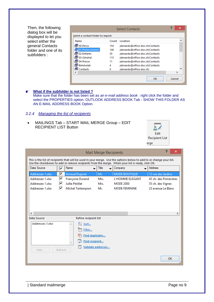Then, the following dialog box will be displayed to let you select either the general Contacts folder and one of its subfolders :

|                                    |       | <b>Select Contacts</b>          | 2 | ×            |
|------------------------------------|-------|---------------------------------|---|--------------|
| Select a contact folder to import: |       |                                 |   |              |
| Name                               | Count | Location                        |   | ́            |
| <sup>脚 00-Perso</sup>              | 154   | jdenardo@office-doc.ch Contacts |   |              |
| estionnel                          | 146   | jdenardo@office-doc.ch Contacts |   |              |
| <sup>即</sup> 02-Enfants            | 35.   | jdenardo@office-doc.ch Contacts |   |              |
| <sup>即03-Général</sup>             | 115   | jdenardo@office-doc.ch Contacts |   |              |
| <sup>即04</sup> -Presse             | 11    | jdenardo@office-doc.ch Contacts |   |              |
| <sup>图</sup> Bénévolat             | 4     | jdenardo@office-doc.ch Contacts |   |              |
| e Contacts                         | o     | jdenardo@office-doc.chl         |   | $\checkmark$ |
|                                    |       |                                 |   |              |
|                                    |       | OK                              |   | Cancel       |

### **What if the subfolder is not listed ?** Make sure that the folder has been set as *an e-mail address book* : right click the folder and select the PROPERTIES option. OUTLOOK ADDRESS BOOK Tab - SHOW THIS FOLDER AS AN E-MAIL ADDRESS BOOK Option.

# <span id="page-10-0"></span>*3.2.4 Managing the list of recipients*

 MAILINGS Tab – START MAIL MERGE Group – EDIT RECIPIENT LIST Button



| ×<br>Mail Merge Recipients                                                                                                                                                                                                |         |                                                                   |                    |                      |  |                       |    |  |  |
|---------------------------------------------------------------------------------------------------------------------------------------------------------------------------------------------------------------------------|---------|-------------------------------------------------------------------|--------------------|----------------------|--|-----------------------|----|--|--|
| This is the list of recipients that will be used in your merge. Use the options below to add to or change your list.<br>Use the checkboxes to add or remove recipients from the merge. When your list is ready, click OK. |         |                                                                   |                    |                      |  |                       |    |  |  |
| Data Source                                                                                                                                                                                                               | ⊽       | Name<br>$\mathbf{r}$                                              | Title              | Company              |  | <b>Address</b>        |    |  |  |
| Addresses-1.xlsx                                                                                                                                                                                                          | ᢦ       | <b>Arnaud Dupont</b>                                              | Mr.                | <b>MODE BOUTIQUE</b> |  | 12 rue des Jardins    |    |  |  |
| Addresses-1.xlsx                                                                                                                                                                                                          | ▽       | Françoise Durand                                                  | Mrs.               | L'HOMME ELEGANT      |  | 45 ch. des Primevères |    |  |  |
| Addresses-1.xlsx                                                                                                                                                                                                          | ⊽       | Jullie Périllat                                                   | Mrs.               | MODE 2000            |  | 55 ch. des Vignes     |    |  |  |
| Addresses-1.xlsx                                                                                                                                                                                                          | ∣V      | Michel Tartempion                                                 | Mr.                | <b>MODE FEMININE</b> |  | 23 avenue Le Blanc    |    |  |  |
| ∢<br>Data Source                                                                                                                                                                                                          |         | Refine recipient list                                             |                    |                      |  |                       | э  |  |  |
| Addresses-1.xlsx<br>Edit                                                                                                                                                                                                  | Refresh | $\frac{A}{7}$ Sort<br>Filter<br>Find duplicates<br>Find recipient | Validate addresses |                      |  |                       |    |  |  |
|                                                                                                                                                                                                                           |         |                                                                   |                    |                      |  |                       | OK |  |  |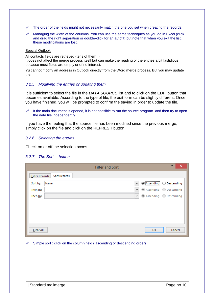- $\mathcal N$  The order of the fields might not necessarily match the one you set when creating the records.
- Managing the width of the columns. You can use the same techniques as you do in Excel (click and drag the right separation or double-click for an autofit) but note that when you exit the list, these modifications are lost.

### Special Outlook

All contacts fields are retrieved (tens of them !)

It does not affect the merge process itself but can make the reading of the entries a bit fastidious because most fields are empty or of no interest.

Yu cannot modify an address in Outlook directly from the Word merge process. But you may update them.

### <span id="page-11-0"></span>*3.2.5 Modifying the entries or updating them*

It is sufficient to select the file in the *DATA SOURCE* list and to click on the EDIT button that becomes available. According to the type of file, the edit form can be slightly different. Once you have finished, you will be prompted to confirm the saving in order to update the file.

 It the main document is opened, it is not possible to run the source program and then try to open the data file independently.

If you have the feeling that the source file has been modified since the previous merge, simply click on the file and click on the REFRESH button.

### <span id="page-11-1"></span>*3.2.6 Selecting the entries*

<span id="page-11-2"></span>Check on or off the selection boxes

## *3.2.7 The Sort …button*

|                       | <b>Filter and Sort</b>  | ?<br>×                             |
|-----------------------|-------------------------|------------------------------------|
| <b>Filter Records</b> | Sort Records            |                                    |
| $S$ ort by:           | Name<br>v               | <br><b>Ascending</b><br>Descending |
| Then by:              | v                       | Ascending Descending               |
| Then <u>b</u> y:      | $\lambda_{\rm p} \beta$ | Ascending Descending               |
|                       |                         |                                    |
|                       |                         |                                    |
|                       |                         |                                    |
|                       |                         |                                    |
| Clear All             |                         | OK<br>Cancel                       |

Simple sort : click on the column field ( ascending or descending order)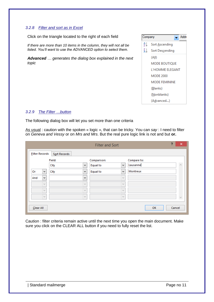# <span id="page-12-0"></span>*3.2.8 Filter and sort as in Excel*

Click on the triangle located to the right of each field

*If there are more than 10 items in the column, they will not all be listed. You'll want to use the ADVANCED option to select them.*

*Advanced … generates the dialog box explained in the next topic*



# <span id="page-12-1"></span>*3.2.9 The Filter …button*

The following dialog box will let you set more than one criteria

As usual : caution with the spoken « logic », that can be tricky. You can *say* : I need to filter on *Geneva and Vessy* or on *Mrs and Mrs*. But the real pure logic link is not and but **or.**

|                       |                |              |                | <b>Filter and Sort</b> |                     | ?           | ×                     |
|-----------------------|----------------|--------------|----------------|------------------------|---------------------|-------------|-----------------------|
| <b>Filter Records</b> |                | Sort Records |                |                        |                     |             |                       |
|                       |                | Field:       |                | Comparison:            |                     | Compare to: |                       |
|                       |                | City         | v              | Equal to               | v                   | Lausanne    | $\hat{\rho}_{\rm{N}}$ |
| Or                    | $\checkmark$   | City         | v              | Equal to               | $\forall$           | Montreux    |                       |
| And                   | v              |              | $\mathbf{v}$   |                        | $\lambda_{\rm B}$   |             |                       |
|                       | w              |              | $\mathbb{Q}^d$ |                        | $\lambda_{\rm{B}}/$ |             |                       |
|                       | $\mathbb{Q}^d$ |              | $\mathbb{Q}^j$ |                        | $\lambda_{\rm{B}}/$ |             |                       |
|                       | $\mathbb{Q}^d$ |              | $\mathbb{Q}^d$ |                        | $\lambda_{\rm p}$   |             | $\mathcal{G}$         |
| Clear All             |                |              |                |                        |                     | OK          | Cancel                |

Caution : filter criteria remain active until the next time you open the main document. Make sure you click on the CLEAR ALL button if you need to fully reset the list.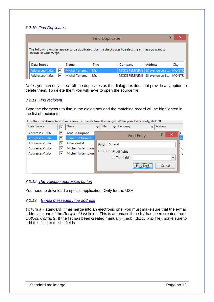# <span id="page-13-0"></span>*3.2.10 Find Duplicates*

|                                                                                                                               | <b>Find Duplicates</b> |    |               |       |                                         |                                       | ×    |
|-------------------------------------------------------------------------------------------------------------------------------|------------------------|----|---------------|-------|-----------------------------------------|---------------------------------------|------|
| The following entries appear to be duplicates. Use the checkboxes to select the entries you want to<br>include in your merge. |                        |    |               |       |                                         |                                       |      |
|                                                                                                                               | Data Source            |    | Name          | Title | Company                                 | <b>Address</b>                        | City |
|                                                                                                                               | Addresses-1.xlsx       | О  | Michel Tartem | Mr.   | MODE FEMININE   23 avenue Le Bl   MONTR |                                       |      |
|                                                                                                                               | Addresses-1.xlsx       | ∣V | Michel Tartem | Mr.   |                                         | MODE FEMININE 23 avenue Le Bl   MONTR |      |

*Note* : you can only check off the duplicates as the dialog box does not provide any option to delete them. To delete them you will have to open the source file.

# <span id="page-13-1"></span>*3.2.11 Find recipient*

Type the characters to find in the dialog box and the matching record will be highlighted in the list of recipients.

Use the checkboxes to add or remove recipients from the merge. When your list is ready, click OK.

| Data Source      | ⊽ | Name                    | Title    |        | Company                |                   | <b>Address</b> |              |     |
|------------------|---|-------------------------|----------|--------|------------------------|-------------------|----------------|--------------|-----|
| Addresses-1.xlsx | ⊽ | <b>Arnaud Dupont</b>    |          |        |                        | <b>Find Entry</b> |                | ×            |     |
| Addresses-1.xlsx | ⊽ | <b>Françoise Durand</b> |          |        |                        |                   |                |              |     |
| Addresses-1.xlsx | ▽ | Jullie Périllat         | Find:    | Durand |                        |                   |                |              |     |
| Addresses-1.xlsx | ✔ | Michel Tartempion       |          |        |                        |                   |                |              | nc  |
| Addresses-1.xlsx | ⊽ | Michel Tartempion       | Look in: |        | All fields             |                   |                |              | Inc |
|                  |   |                         |          |        | $\bigcirc$ This field: |                   |                | $\mathbf{v}$ |     |
|                  |   |                         |          |        |                        | <b>Find Next</b>  |                | Cancel       |     |

### <span id="page-13-2"></span>*3.2.12 The Validate addresses button*

<span id="page-13-3"></span>You need to download a special application. Only for the USA

# *3.2.13 E-mail messages : the address*

To turn a « standard » mailmerge into an electronic one, you must make sure that the e-mail address is one of the *Recipient List* fields. This is automatic if the list has been created from *Outlook Contacts.* If the list has been created manually (.mdb, .doxx, .xlsx file), make sure to add this field to the list fields.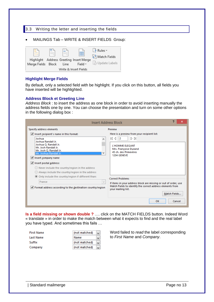# <span id="page-14-0"></span>3.3 Writing the letter and inserting the fields

MAILINGS Tab – WRITE & INSERT FIELDS Group:

|                       | = | $\sim$ |                                              | $\frac{3}{2}$ Rules $\overline{z}$ |  |  |  |
|-----------------------|---|--------|----------------------------------------------|------------------------------------|--|--|--|
|                       |   | $\sim$ | 嚚<br>Highlight Address Greeting Insert Merge | 무슨 Match Fields                    |  |  |  |
| Merge Fields Block    |   | Line   | Field +                                      | Dpdate Labels                      |  |  |  |
| Write & Insert Fields |   |        |                                              |                                    |  |  |  |

## **Highlight Merge Fields**

By default, only a selected field with be highlight. If you click on this button, all fields you have inserted will be highlighted.

## **Address Block et Greeting Line**

*Address Block* : to insert the address as one block in order to avoid inserting manually the address fields one by one. You can choose the presentation and turn on some other options in the following dialog box :

| 2<br>Insert Address Block                                                                                                                                                                                                                                                                                                                                                                                                                                                                                                                                                       |                                                                                                                                                                                                                                                                                                                                                                          |  |  |  |
|---------------------------------------------------------------------------------------------------------------------------------------------------------------------------------------------------------------------------------------------------------------------------------------------------------------------------------------------------------------------------------------------------------------------------------------------------------------------------------------------------------------------------------------------------------------------------------|--------------------------------------------------------------------------------------------------------------------------------------------------------------------------------------------------------------------------------------------------------------------------------------------------------------------------------------------------------------------------|--|--|--|
| Specify address elements<br>$\blacktriangleright$ Insert recipient's name in this format:<br>Joshua<br>۸<br>Joshua Randall Jr.<br>Joshua O. Randall Jr.<br>Mr. Josh Randall Jr.<br>Mr. Josh Q. Randall Jr.<br>w<br>Mr. Joshua Randall Jr.<br>I Insert company name<br>I Insert postal address:<br>$\bigcirc$ Never include the country/region in the address<br>$\bigcirc$ Always include the country/region in the address<br>Only include the country/region if different than:<br>France<br>$\blacktriangleright$ Format address according to the destination country/region | Preview<br>Here is a preview from your recipient list:<br>ÞИ<br>КI<br>$\mathbf{2}$<br>L'HOMME ELEGANT<br>Mrs. Françoise Durand<br>45 ch. des Primevères<br>1204 GENEVE<br><b>Correct Problems</b><br>If items in your address block are missing or out of order, use<br>Match Fields to identify the correct address elements from<br>your mailing list.<br>Match Fields |  |  |  |
|                                                                                                                                                                                                                                                                                                                                                                                                                                                                                                                                                                                 | OK<br>Cancel                                                                                                                                                                                                                                                                                                                                                             |  |  |  |

**Is a field missing or shown double ?** …. click on the MATCH FIELDS button. Indeed Word « translate » in order to make the match between what it expects to find and the real label you have typed. And sometimes this fails …

| First Name | (not matched)<br>$\overline{\phantom{a}}$ |
|------------|-------------------------------------------|
| Last Name  | Name                                      |
| Suffix     | (not matched)                             |
| Company    | (not matched)                             |

Word failed to *read* the label corresponding to *First Name* and *Company*.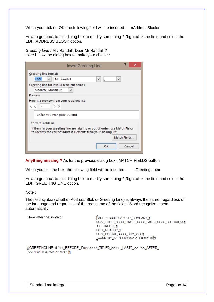When you click on OK, the following field will be inserted : «AddressBlock»

How to get back to this dialog box to modify something ? Right click the field and select the EDIT ADDRESS BLOCK option.

*Greeting Line :* Mr. Randall, Dear Mr Randall ? Here below the dialog box to make your choice :

| ×<br>Insert Greeting Line                                                                                                                        |
|--------------------------------------------------------------------------------------------------------------------------------------------------|
| Greeting line format:                                                                                                                            |
| <b>Cher</b><br>Mr. Randall<br>v.<br>v<br>$\checkmark$<br>z                                                                                       |
| Greeting line for invalid recipient names:                                                                                                       |
| Madame, Monsieur,<br>v                                                                                                                           |
| Preview                                                                                                                                          |
| Here is a preview from your recipient list:                                                                                                      |
| DИ<br>к≀⊲<br>2                                                                                                                                   |
| Chère Mrs. Françoise Durand,                                                                                                                     |
| <b>Correct Problems</b>                                                                                                                          |
| If items in your greeting line are missing or out of order, use Match Fields<br>to identify the correct address elements from your mailing list. |
| Match Fields                                                                                                                                     |
| Cancel<br>OK                                                                                                                                     |

**Anything missing ?** As for the previous dialog box : MATCH FIELDS button

When you exit the box, the following field will be inserted . «GreetingLine»

How to get back to this dialog box to modify something ? Right click the field and select the EDIT GREETING LINE option.

Note :

The field syntax (whether Address Blok or Greeting Line) is always the same, regardless of the language and regardless of the real name of the fields. Word recognizes them automatically.

Here after the syntax : **ADDRESSBLOCK \f-"<< COMPANY \left"** >><< TITLE0 ·>><< FIRST0 >><< LAST0 >><< SUFFIX0 >>\T << STREET1 ¶ >><< STREET2 ¶ >><<\_POSTAL\_>><<\_CITY\_>><<¶ \_COUNTRY\_>>"\I\4108\c-2\e-"Suisse"\d新

```
{\{ GREETINGLINE \t \f \"<<_BEFORE_\Dear>><<_TITLE0_>><<\_LAST0_>> <<_AFTER_\
,>>"-\I-4108-\e-"Mr.-or-Mrs." 翻
```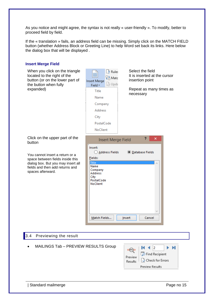As you notice and might agree, the syntax is not really « user-friendly ». To modify, better to proceed field by field.

If the « translation » fails, an address field can be missing. Simply click on the MATCH FIELD button (whether Address Block or Greeting Line) to help Word set back its links. Here below the dialog box that will be displayed .

# **Insert Merge Field**

<span id="page-16-0"></span>

| When you click on the triangle<br>located to the right of the<br>button (or on the lower part of<br>the button when fully<br>expanded)                            | $\frac{5}{2}$ Rules<br>謂<br>무임 Matc<br>Insert Merge<br>ြွှဲ Upda<br>Field *<br>Title<br>Name<br>Company<br><b>Address</b><br>City<br>PostalCode<br>NoClient | Select the field<br>It is inserted at the cursor<br>insertion point<br>Repeat as many times as<br>necessary |
|-------------------------------------------------------------------------------------------------------------------------------------------------------------------|-------------------------------------------------------------------------------------------------------------------------------------------------------------|-------------------------------------------------------------------------------------------------------------|
| Click on the upper part of the<br>button                                                                                                                          | <b>Insert Merge Field</b>                                                                                                                                   | 2<br>×                                                                                                      |
| You cannot insert a return or a<br>space between fields inside this<br>dialog box. But you may insert all<br>fields and then add returns and<br>spaces afterward. | Insert:<br>Address Fields<br>Fields:<br><b>Title</b><br>Name<br>Company<br>Address<br>City<br>PostalCode<br>NoClient<br>Match Fields                        | <b>O</b> Database Fields<br>Insert<br>Cancel                                                                |
| Previewing the result<br> 3.4                                                                                                                                     |                                                                                                                                                             |                                                                                                             |
| MAILINGS Tab - PREVIEW RESULTS Group                                                                                                                              |                                                                                                                                                             | к.<br>2<br>ы<br><b>CHECK</b><br>Find Recipient<br>Preview<br>Check for Errors<br>Results<br>Preview Results |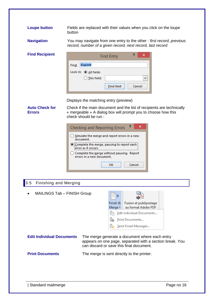**Loupe button** Fields are replaced with their values when you click on the loupe button

**Navigation** You may navigate from one entry to the other : *first record, previous record, number of a given record, next record, last record*

**Find Recipient**

| Dupont<br>Find:<br>Look in: $\circledcirc$ All fields<br>$\bigcirc$ This field: |        |
|---------------------------------------------------------------------------------|--------|
|                                                                                 |        |
|                                                                                 |        |
|                                                                                 |        |
| <b>Find Next</b>                                                                | Cancel |

Displays the matching entry (preview)

# **Auto Check for Errors**

Check if the main document and the list of recipients are technically « mergeable » A dialog box will prompt you to choose how this check should be run :

| <b>Checking and Reporting Errors</b>                                    |        |  |  |  |
|-------------------------------------------------------------------------|--------|--|--|--|
| (b) Simulate the merge and report errors in a new<br>document.          |        |  |  |  |
| Complete the merge, pausing to report each<br>error as it occurs.       |        |  |  |  |
| Complete the merge without pausing. Report<br>errors in a new document. |        |  |  |  |
| ОΚ                                                                      | Cancel |  |  |  |

# <span id="page-17-0"></span>3.5 Finishing and Merging

| MAILINGS Tab - FINISH Group      |  |                           |                                                                                                                                                        |  |
|----------------------------------|--|---------------------------|--------------------------------------------------------------------------------------------------------------------------------------------------------|--|
|                                  |  | Finish &<br>Merge $\tau$  | Fusion et publipostage<br>au format Adobe PDF                                                                                                          |  |
|                                  |  | Edit Individual Documents |                                                                                                                                                        |  |
|                                  |  | ŧ.                        | Print Documents                                                                                                                                        |  |
|                                  |  |                           | Send Email Messages                                                                                                                                    |  |
| <b>Edit Individual Documents</b> |  |                           | The merge generate a document where each entry<br>appears on one page, separated with a section break. You<br>can discard or save this final document. |  |
| <b>Print Documents</b>           |  |                           | The merge is sent directly to the printer.                                                                                                             |  |
|                                  |  |                           |                                                                                                                                                        |  |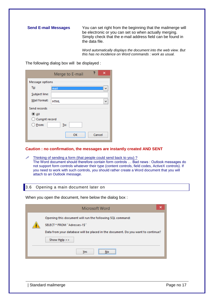**Send E-mail Messages** You can set right from the beginning that the mailmerge will be electronic or you can set so when actually merging. Simply check that the e-mail address field can be found in the data file.

> *Word automatically displays the document into the web view. But this has no incidence on Word commands : work as usual.*

The following dialog box will be displayed :

|                  | Merge to E-mail |        |   |
|------------------|-----------------|--------|---|
| Message options  |                 |        |   |
| To:              | <b>Imail</b>    |        |   |
| Subject line:    |                 |        |   |
| Mail format:     | <b>HTML</b>     |        | w |
| Send records     |                 |        |   |
| $\odot$ All      |                 |        |   |
| ◯ Current record |                 |        |   |
| $\bigcirc$ Erom: | To:             |        |   |
|                  | OK              | Cancel |   |

### **Caution : no confirmation, the messages are instantly created AND SENT**

 Thinking of sending a form (that people could send back to you) ? The Word document should therefore contain form controls … Bad news : Outlook messages do not support form controls whatever their type (content controls, field codes, ActiveX controls). If you need to work with such controls, you should rather create a Word document that you will attach to an Outlook message.

## <span id="page-18-0"></span>3.6 Opening a main document later on

When you open the document, here below the dialog box :

| ×<br>Microsoft Word                                                                                                                                                                             |
|-------------------------------------------------------------------------------------------------------------------------------------------------------------------------------------------------|
| Opening this document will run the following SQL command:<br>SELECT * FROM "Adresses-1\$"<br>Data from your database will be placed in the document. Do you want to continue?<br>Show Help $>>$ |
| ,,,,,,,,,,,,,,,,,,,,,,,,,,,,<br>Yes                                                                                                                                                             |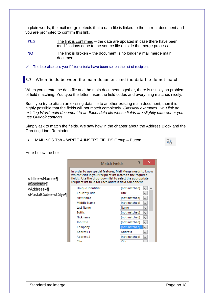In plain words, the mail merge detects that a data file is linked to the current document and you are prompted to confirm this link.

**YES** The link is confirmed – the data are updated in case there have been modifications done to the source file outside the merge process.

<span id="page-19-0"></span> $\mathscr I$  The box also tells you if filter criteria have been set on the list of recipients.

3.7 When fields between the main document and the data file do not match

When you create the data file and the main document together, there is usually no problem of field matching. You type the letter, insert the field codes and everything matches nicely.

But if you try to attach an existing data file to another existing main document, then it is highly possible that the fields will not match completely. *Classical examples . you link an existing Word main document to an Excel data file whose fields are slightly different or you use Outlook contacts.*

Simply ask to match the fields. We saw how in the chapter about the Address Block and the Greeting Line. Reminder :

MAILINGS Tab – WRITE & INSERT FIELDS Group – Button :

Here below the box :

|                               | Match Fields                                                                                                                                                                                                                                 |               | ×      |
|-------------------------------|----------------------------------------------------------------------------------------------------------------------------------------------------------------------------------------------------------------------------------------------|---------------|--------|
| «Title» «Name»¶<br>«Société»¶ | In order to use special features, Mail Merge needs to know<br>which fields in your recipient list match to the required<br>fields. Use the drop-down list to select the appropriate<br>recipient list field for each address field component |               |        |
| «Address»¶                    | Unique Identifier                                                                                                                                                                                                                            | (not matched) | ́<br>v |
| «PostalCode» «City»¶l         | <b>Courtesy Title</b>                                                                                                                                                                                                                        | Title         | v      |
|                               | <b>First Name</b>                                                                                                                                                                                                                            | (not matched) | v      |
|                               | <b>Middle Name</b>                                                                                                                                                                                                                           | (not matched) | v      |
|                               | <b>Last Name</b>                                                                                                                                                                                                                             | Name          | v      |
|                               | Suffix                                                                                                                                                                                                                                       | (not matched) | v      |
|                               | Nickname                                                                                                                                                                                                                                     | (not matched) | v      |
|                               | <b>Job Title</b>                                                                                                                                                                                                                             | (not matched) | v      |
|                               | Company                                                                                                                                                                                                                                      | (not matched) | v      |
|                               | Address 1                                                                                                                                                                                                                                    | Address       | v      |
|                               | Address 2                                                                                                                                                                                                                                    | (not matched) | v      |
|                               | F:4                                                                                                                                                                                                                                          | 74.7          |        |

**NO** The link is broken – the document is no longer a mail merge main document.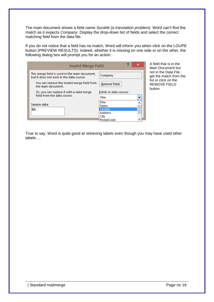The main document shows a field name *Société (a translation problem).* Word can't find the match as it expects *Company*. Display the drop-down list of fields and select the correct matching field from the data file.

If you do not notice that a field has no match, Word will inform you when click on the LOUPE button (PREVIEW RESULTS). Indeed, whether it is missing on one side or on the other, the following dialog box will prompt you for an action :

| Invalid Merge Field                                                                         | כי                     | ×            |
|---------------------------------------------------------------------------------------------|------------------------|--------------|
| This merge field is used in the main document,<br>but it does not exist in the data source. | Company                |              |
| You can remove the invalid merge field from<br>the main document.                           | <b>Remove Field</b>    |              |
| Or, you can replace it with a valid merge                                                   | Fields in data source: |              |
| field from the data source.                                                                 | Title                  | $\checkmark$ |
| Sample data:                                                                                | Title<br>Name          |              |
| Mr                                                                                          | Société                |              |
|                                                                                             | Address                |              |
|                                                                                             | City<br>PostalCode     |              |

A field that is in the Main Document but not in the Data File : get the match from the list or click on the REMOVE FIELD button.

True to say, Word is quite good at retrieving labels even though you may have used other labels …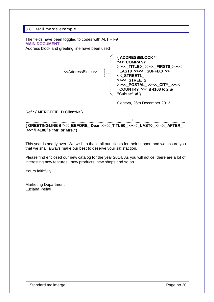# <span id="page-21-0"></span>3.8 Mail merge example

The fields have been toggled to codes with ALT + F9 **MAIN DOCUMENT**

Address block and greeting line have been used



Geneva, 26th December 2013

# Ref **: { MERGEFIELD ClientNr }**

**{ GREETINGLINE \f "<<\_BEFORE\_ Dear >><<\_TITLE0\_>><< \_LAST0\_>> <<\_AFTER\_ ,>>" \l 4108 \e "Mr. or Mrs."}**

This year is nearly over. We wish to thank all our clients for their support and we assure you that we shall always make our best to deserve your satisfaction.

Please find enclosed our new catalog for the year 2014. As you will notice, there are a lot of interesting new features : new products, new shops and so on.

\_\_\_\_\_\_\_\_\_\_\_\_\_\_\_\_\_\_\_\_\_\_\_\_\_\_\_\_\_\_\_\_\_\_\_\_\_\_\_\_\_

Yours faithfully,

Marketing Department Luciana Pellati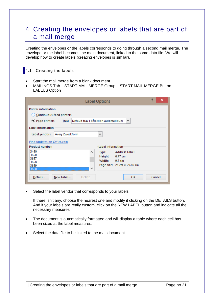# <span id="page-22-0"></span>4 Creating the envelopes or labels that are part of a mail merge

Creating the envelopes or the labels corresponds to going through a second mail merge. The envelope or the label becomes the main document, linked to the same data file. We will develop how to create labels (creating envelopes is similar).

# <span id="page-22-1"></span>4.1 Creating the labels

- Start the mail merge from a blank document
- MAILINGS Tab START MAIL MERGE Group START MAIL MERGE Button LABELS Option

|                                                                                                                                                                                                        | ?<br>×<br><b>Label Options</b>            |  |
|--------------------------------------------------------------------------------------------------------------------------------------------------------------------------------------------------------|-------------------------------------------|--|
| <b>Printer information</b><br>◯ Continuous-feed printers<br>(C) Page printers<br>Tray:                                                                                                                 | Default tray (Sélection automatique)<br>v |  |
| Label information<br>Avery Zweckform<br>Label vendors:<br>Find updates on Office.com                                                                                                                   | v                                         |  |
| Label information<br>Product number:<br>3490<br>Address Label<br>$\sim$<br>Type:<br>3650<br>Height:<br>6.77 cm<br>3657<br>Width:<br>9.7 cm<br>3658<br>Page size: 21 cm × 29.69 cm<br>3659<br>v<br>3660 |                                           |  |
| Details<br>New Label<br>Delete                                                                                                                                                                         | Cancel<br><b>OK</b>                       |  |

• Select the label vendor that corresponds to your labels.

If there isn't any, choose the nearest one and modify it clicking on the DETAILS button. And if your labels are really custom, click on the NEW LABEL button and indicate all the necessary measures.

- The document is automatically formatted and will display a table where each cell has been sized at the label measures.
- Select the data file to be linked to the mail document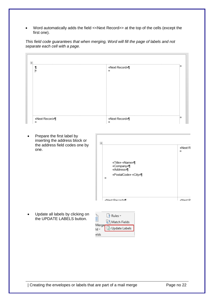Word automatically adds the field << Next Record>> at the top of the cells (except the first one).

*This field code guarantees that when merging, Word will fill the page of labels and not separate each cell with a page.*

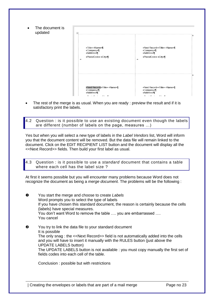| The document is<br>$\bullet$<br>updated | 再                                                                                                 |                                                                                               |
|-----------------------------------------|---------------------------------------------------------------------------------------------------|-----------------------------------------------------------------------------------------------|
|                                         | «Title» «Name»¶<br>«Company»¶<br>«Address»¶<br>«PostalCode» «City»¶<br>$\alpha$                   | «Next Record» «Title» «Name»¶<br>«Company»¶<br>«Address»¶<br>«PostalCode» «City»¶<br>$\alpha$ |
|                                         | «Next Record» «Title» «Name»¶<br>«Company»<br>«Address»<br>$\sim$ 1.25 $\sim$ 1.<br>$\sim$<br>~ - | «Next Record» «Title» «Name»¶<br>«Company»<br>«Address»¶<br><b>PER 1999</b><br>--             |

 The rest of the merge is as usual. When you are ready : preview the result and if it is satisfactory print the labels.

<span id="page-24-0"></span>4.2 Question : is it possible to use an existing document even though the labels are different (number of labels on the page, measures …)

Yes but when you will select a new type of labels in the *Label Vendors* list, Word will inform you that the document content will be removed. But the data file will remain linked to the document. Click on the EDIT RECIPIENT LIST button and the document will display all the <<Next Record>> fields. Then build your first label as usual.

<span id="page-24-1"></span>4.3 Question : is it possible to use a *standard* document that contains a table where each cell has the label size?

At first it seems possible but you will encounter many problems because Word does not recognize the document as being a *merge document.* The problems will be the following :

- You start the merge and choose to create *Labels*  Word prompts you to select the type of labels If you have chosen this standard document, the reason is certainly because the cells (labels) have special measures. You don't want Word to remove the table .... you are embarrassed .... You cancel
- $\Theta$  You try to link the data file to your standard document It is possible The only snag : the <<Next Record>> field is not automatically added into the cells and you will have to insert it manually with the RULES button (just above the UPDATE LABELS button) The UPDATE LABELS button is not available : you must copy manually the first set of fields codes into each cell of the table.

Conclusion : possible but with restrictions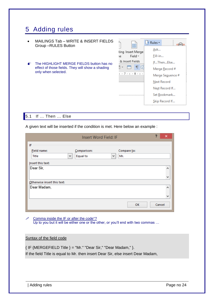# <span id="page-25-0"></span>5 Adding rules

|                                                                         | MAILINGS Tab - WRITE & INSERT FIELDS<br>Group-RULES Button | 晶<br>Ξ                     | $\frac{5}{2}$ Rules $\star$<br><b>CABCD</b> |
|-------------------------------------------------------------------------|------------------------------------------------------------|----------------------------|---------------------------------------------|
|                                                                         |                                                            | ting Insert Merge          | Ask                                         |
|                                                                         |                                                            | Field $\overline{ }$<br>۱e | Fill-in                                     |
| $\bullet^*$                                                             | The HIGHLIGHT MERGE FIELDS button has no                   | & Insert Fields            | IfThenElse                                  |
| effect of those fields. They will show a shading<br>only when selected. | E<br>$\overline{\phantom{a}}$<br>                          | Merge Record #             |                                             |
|                                                                         |                                                            | $+7 + 1 + 8 + 1 +$         | Merge Seguence #                            |
|                                                                         |                                                            |                            | Next Record                                 |
|                                                                         |                                                            |                            | Next Record If                              |
|                                                                         |                                                            | ---------------            | Set Bookmark                                |
|                                                                         |                                                            |                            | Skip Record If                              |
|                                                                         |                                                            |                            |                                             |

<span id="page-25-1"></span>

|  | 5.1 If  Then  Else |
|--|--------------------|
|  |                    |

A given text will be inserted if the condition is met. Here below an example :

|                             |   | Insert Word Field: IF |   |             | $\overline{P}$ | ×                        |
|-----------------------------|---|-----------------------|---|-------------|----------------|--------------------------|
| IF                          |   |                       |   |             |                |                          |
| Field name:                 |   | Comparison:           |   | Compare to: |                |                          |
| Title                       | ٧ | Equal to              | v | Mr.         |                |                          |
| Insert this text:           |   |                       |   |             |                |                          |
| Dear Sir,                   |   |                       |   |             |                | ۸                        |
|                             |   |                       |   |             |                |                          |
|                             |   |                       |   |             |                | v                        |
| Otherwise insert this text: |   |                       |   |             |                |                          |
| Dear Madam,                 |   |                       |   |             |                | ۸                        |
|                             |   |                       |   |             |                | $\overline{\phantom{a}}$ |
|                             |   |                       |   |             |                |                          |
|                             |   |                       |   | OK          | Cancel         |                          |

*i* Comma inside the IF or after the code°? Up to you but it will be either one or the other, or you'll end with two commas ...

# Syntax of the field code

{ IF {MERGEFIELD Title } = "Mr." "Dear Sir," "Dear Madam," }. If the field Title is equal to Mr. then insert Dear Sir, else insert Dear Madam,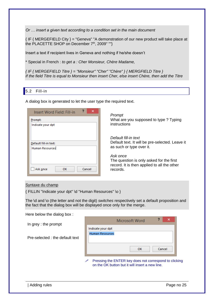*Or … insert a given text according to a condition set in the main document*

{ IF { MERGEFIELD City } = "Geneva" "A demonstration of our new product will take place at the PLACETTE SHOP on December 7<sup>th</sup>, 2009" ""}

Insert a text if recipient lives in Geneva and nothing if he/she doesn't

\* Special in French : *to get a : Cher Monsieur, Chère Madame,*

*{ IF { MERGEFIELD Titre } = "Monsieur" "Cher" "Chère" } { MERGFIELD Titre } If the field Titre is equal to Monsieur then insert Cher, else insert Chère, then add the Titre*

## <span id="page-26-0"></span>5.2 Fill-in

A dialog box is generated to let the user type the required text.

| Insert Word Field: Fill-in |
|----------------------------|
| Prompt:                    |
| Indicate your dpt          |
| Default fill-in text:      |
| <b>Human Resources</b>     |
| Cancel<br>ОΚ<br>Ask once   |

*Prompt* What are you supposed to type ? Typing instructions

*Default fill-in text* Default text. It will be pre-selected. Leave it as such or type over it.

*Ask once* The question is only asked for the first record. It is then applied to all the other records.

### Syntaxe du champ

{ FILLIN "Indicate your dpt" \d "Human Resources" \o }

The \d and \o (the letter and not the digit) *switches* respectively set a default proposition and the fact that the dialog box will be displayed once only for the merge.

Here below the dialog box :

In grey : the prompt

Pre-selected : the default text

|                                             | Microsoft Word | x      |
|---------------------------------------------|----------------|--------|
| Indicate your dpt<br><b>Human Resources</b> |                |        |
|                                             | OK             | Cancel |

 Pressing the ENTER key does not correspond to clicking on the OK button but it will insert a new line.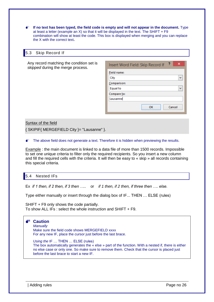**If no text has been typed, the field code is empty and will not appear in the document.** Type at least a letter (example an X) so that it will be displayed in the text. The SHIFT  $+ F9$ combination will show at least the code. This box is displayed when merging and you can replace the X with the correct text**.**

## <span id="page-27-0"></span>5.3 Skip Record If

Any record matching the condition set is *skipped* during the merge process.

| 2<br>×<br>Insert Word Field: Skip Record If |
|---------------------------------------------|
| Field name:                                 |
| City                                        |
| Comparison:                                 |
| <b>Equal to</b><br>ш                        |
| Compare to:                                 |
| Lausanne                                    |
| OK<br>Cancel                                |

## Syntax of the field

{ SKIPIF{ MERGEFIELD City }= "Lausanne" }.

 $\bullet$  The above field does not generate a text. Therefore it is hidden when previewing the results.

Example : the main document is linked to a data file of more than 1500 records. Impossible to set one unique criteria to filter only the required recipients. So you insert a new column and fill the required cells with the criteria. It will then be easy to « skip » all records containing this special criteria.

# <span id="page-27-1"></span>5.4 Nested IFs

Ex *if 1 then, if 2 then, if 3 then …..* or *if 1 then, if 2 then, if three then …. else.*

Type either manually or insert through the dialog box of IF... THEN … ELSE (rules)

SHIFT + F9 only shows the code partially. To show ALL IFs : select the whole instruction and SHIFT + F9.



The box automatically generates the « else » part of the function. With a nested if, there is either no else case or only one. So make sure to remove them. Check that the cursor is placed just before the last brace to start a new IF.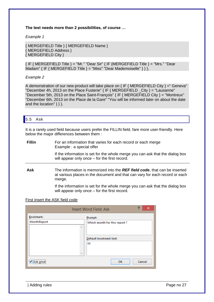## **The test needs more than 2 possibilities, of course …**

*Example 1*

```
{ MERGEFIELD Title } { MERGEFIELD Name }
{ MERGEFIELD Address }
{ MERGEFIELD City }
```
 ${I.F}$  MERGEFIELD Title } = "Mr." "Dear Sir"  ${I.F}$  (MERGEFIELD Title } = "Mrs." "Dear Madam" { IF { MERGEFIELD Title } = "Miss" "Dear Mademoiselle" } } },

# *Example 2*

A demonstration of our new product will take place on  $\{IF\}$  MERGEFIELD City  $\}$  =" Geneva" "December 4h, 2013 on the Place Fusterie"  $\{IF\}$  MERGEFIELD City  $\}$  = "Lausanne" "December 5th, 2013 on the Place Saint-François" { IF { MERGEFIELD City } = "Montreux" "December 6th, 2013 on the Place de la Gare" "You will be informed later on about the date and the location"  $\}$  }.

## <span id="page-28-0"></span>5.5 Ask

It is a rarely used field because users prefer the FILLIN field, fare more user-friendly. Here below the major differences between them :

| <b>Fillin</b> | For an information that varies for each record or each merge<br>Example : a special offer                                      |  |  |
|---------------|--------------------------------------------------------------------------------------------------------------------------------|--|--|
|               | If the information is set for the whole merge you can ask that the dialog box<br>will appear only once – for the first record. |  |  |
|               |                                                                                                                                |  |  |

**Ask** The information is memorized into the *REF field code*, that can be inserted at various places in the document and that can vary for each record or each merge.

> If the information is set for the whole merge you can ask that the dialog box will appear only once – for the first record.

# First insert the ASK field code

|             | Ð<br>×<br><b>Insert Word Field: Ask</b> |
|-------------|-----------------------------------------|
| Bookmark:   | Prompt:                                 |
| MonthReport | Which month for this report?            |
| ۸           | Default bookmark text:                  |
| w           | XХ                                      |
|             | Cancel                                  |
| k once:     | OK                                      |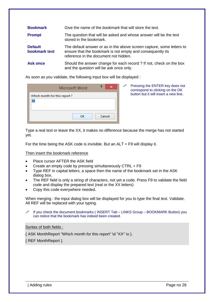| <b>Bookmark</b>                 | Give the name of the <i>bookmark</i> that will store the text.                                                                                                               |
|---------------------------------|------------------------------------------------------------------------------------------------------------------------------------------------------------------------------|
| <b>Prompt</b>                   | The question that will be asked and whose answer will be the text<br>stored in the bookmark.                                                                                 |
| <b>Default</b><br>bookmark text | The default answer or as in the above screen capture, some letters to<br>ensure that the bookmark is not empty and consequently its<br>reference in the document not hidden. |
| <b>Ask once</b>                 | Should the answer change for each record ? If not, check on the box<br>and the question will be ask once only.                                                               |

As soon as you validate, the following input box will be displayed :

| Microsoft Word               | ×      |
|------------------------------|--------|
| Which month for this report? |        |
|                              |        |
|                              |        |
| ОΚ                           | Cancel |
|                              |        |

 Pressing the ENTER key does not correspond to clicking on the OK button but it will insert a new line.

Type a real text or leave the XX, it makes no difference because the merge has not started yet.

For the time being the ASK code is invisible. But an ALT + F9 will display it.

### Then insert the bookmark reference

- Place cursor AFTER the ASK field
- Create an empty code by pressing simultaneously CTRL + F9
- Type REF in capital letters, a space then the name of the bookmark set in the ASK dialog box.
- The REF field is only a string of characters, not yet a code. Press F9 to validate the field code and display the prepared text (real or the XX letters)
- Copy this code everywhere needed.

When merging : the input dialog box will be displayed for you to type the final text. Validate. All REF will be replaced with your typing.

 If you check the document bookmarks ( INSERT Tab – LINKS Group – BOOKMARK Button) you can notice that the bookmark has indeed been created.

### Syntax of both fields :

{ ASK MonthReport "Which month for this report" \d "XX" \o }.

{ REF MonthReport }.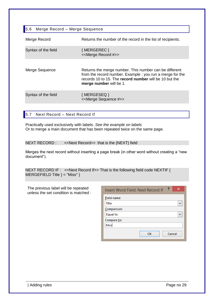<span id="page-30-0"></span>

| 5.6<br>Merge Record - Merge Sequence |                                                                                                                                                                                                          |  |  |  |  |  |  |
|--------------------------------------|----------------------------------------------------------------------------------------------------------------------------------------------------------------------------------------------------------|--|--|--|--|--|--|
| Merge Record                         | Returns the number of the record in the list of recipients.                                                                                                                                              |  |  |  |  |  |  |
| Syntax of the field                  | $\{MERGEREC\}$<br>< <merge #="" record="">&gt;</merge>                                                                                                                                                   |  |  |  |  |  |  |
| Merge Sequence                       | Returns the merge number. This number can be different<br>from the record number. Example : you run a merge for the<br>records 10 to 15. The record number will be 10 but the<br>merge number will be 1. |  |  |  |  |  |  |
| Syntax of the field                  | $\{MERGESEQ\}$<br>< <merge #="" sequence="">&gt;</merge>                                                                                                                                                 |  |  |  |  |  |  |

# <span id="page-30-1"></span>5.7 Next Record – Next Record If

Practically used exclusively with labels. *See the example on labels* Or to merge a main document that has been repeated twice on the same page.

NEXT RECORD : << Next Record>> that is the {NEXT} field

Merges the next record without inserting a page break (in other word without creating a "new document").

NEXT RECORD IF : << Next Record If >> That is the following field code NEXTIF {  $MERGEFIED Title$  } = "Miss" }

The previous label will be repeated unless the set condition is matched :

| Insert Word Field: Next Record If |    | 3 | ×            |
|-----------------------------------|----|---|--------------|
| Field name:                       |    |   |              |
| Title                             |    |   | v            |
| Comparison:                       |    |   |              |
| Equal to                          |    |   | $\checkmark$ |
| Compare to:                       |    |   |              |
| Miss                              |    |   |              |
|                                   | ок |   | Cancel       |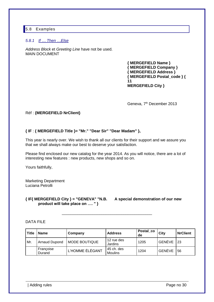# <span id="page-31-0"></span>5.8 Examples

# <span id="page-31-1"></span>*5.8.1 If … Then …Else*

*Address Block* et *Greeting Line* have not be used. MAIN DOCUMENT

> **{ MERGEFIELD Name } { MERGEFIELD Company } { MERGEFIELD Address } { MERGEFIELD Postal\_code } { 11 MERGEFIELD City }**

Geneva, 7<sup>th</sup> December 2013

### Réf : **{MERGEFIELD NrClient}**

# **{ IF** : **{ MERGEFIELD Title }= "Mr." "Dear Sir" "Dear Madam" },**

This year is nearly over. We wish to thank all our clients for their support and we assure you that we shall always make our best to deserve your satisfaction.

Please find enclosed our new catalog for the year 2014. As you will notice, there are a lot of interesting new features : new products, new shops and so on.

Yours faithfully,

Marketing Department Luciana Petrolli

**{ IF{ MERGEFIELD City } = "GENEVA" "N.B. A special demonstration of our new product will take place on …. " }**

## DATA FILE

| <b>Title</b> | <b>Name</b>         | Company              | <b>Address</b>               | Postal_co<br>de | City   | <b>NrClient</b> |
|--------------|---------------------|----------------------|------------------------------|-----------------|--------|-----------------|
| Mr.          | Arnaud Dupond       | <b>MODE BOUTIQUE</b> | 12 rue des<br>Jardins        | 1205            | GENÈVE | -23             |
|              | Françoise<br>Durand | L'HOMME ÉLÉGANT      | 45 ch. des<br><b>Moulins</b> | 1204            | GENÈVE | 56              |

\_\_\_\_\_\_\_\_\_\_\_\_\_\_\_\_\_\_\_\_\_\_\_\_\_\_\_\_\_\_\_\_\_\_\_\_\_\_\_\_\_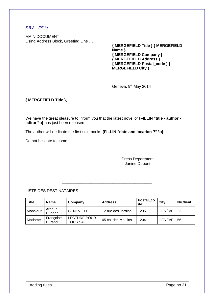# <span id="page-32-0"></span>*5.8.2 Fill-in*

MAIN DOCUMENT Using Address Block, Greeting Line …

**{ MERGEFIELD Title } { MERGEFIELD Name } { MERGEFIELD Company } { MERGEFIELD Address } { MERGEFIELD Postal\_code } { MERGEFIELD City }**

Geneva, 9<sup>th</sup> May 2014

# **{ MERGEFIELD Title },**

We have the great pleasure to inform you that the latest novel of **{FILLIN "title - author editor"\o}** has just been released

The author will dedicate the first sold books **{FILLIN "date and location ?" \o}.**

Do not hesitate to come

Press Department Janine Dupont

# LISTE DES DESTINATAIRES

| <b>Title</b> | <b>Name</b>         | Company                        | <b>Address</b>     | Postal_co<br>de | City          | <b>NrClient</b> |
|--------------|---------------------|--------------------------------|--------------------|-----------------|---------------|-----------------|
| Monsieur     | Arnaud<br>Dupond    | <b>GENEVE LIT</b>              | 12 rue des Jardins | 1205            | <b>GENEVE</b> | 23              |
| Madame       | Françoise<br>Durand | LECTURE POUR<br><b>TOUS SA</b> | 45 ch. des Moulins | 1204            | GENÈVE        | 56              |

\_\_\_\_\_\_\_\_\_\_\_\_\_\_\_\_\_\_\_\_\_\_\_\_\_\_\_\_\_\_\_\_\_\_\_\_\_\_\_\_\_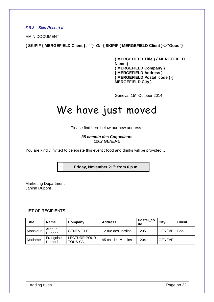<span id="page-33-0"></span>*5.8.3 Skip Record If*

MAIN DOCUMENT

**{ SKIPIF { MERGEFIELD Client }= ""}** *Or* **{ SKIPIF { MERGEFIELD Client }<>"Good"}**

**{ MERGEFIELD Title } { MERGEFIELD Name } { MERGEFIELD Company } { MERGEFIELD Address } { MERGEFIELD Postal\_code } { MERGEFIELD City }** 

Geneva, 15<sup>th</sup> October 2014

# We have just moved

Please find here below our new address :

*35 chemin des Coquelicots 1202 GENÈVE*

You are kindly invited to celebrate this event : food and drinks will be provided ....

**Friday, November 21st-from 6 p.m**

\_\_\_\_\_\_\_\_\_\_\_\_\_\_\_\_\_\_\_\_\_\_\_\_\_\_\_\_\_\_\_\_\_\_\_\_\_\_\_\_\_

Marketing Department Janine Dupont

LIST OF RECIPIENTS

| <b>Title</b> | Name                | Company                        | <b>Address</b>     | Postal_co<br>de | City   | <b>Client</b> |
|--------------|---------------------|--------------------------------|--------------------|-----------------|--------|---------------|
| Monsieur     | Arnaud<br>Dupond    | <b>GENEVE LIT</b>              | 12 rue des Jardins | 1205            | GENÈVE | Bon           |
| Madame       | Françoise<br>Durand | LECTURE POUR<br><b>TOUS SA</b> | 45 ch. des Moulins | 1204            | GENÈVE |               |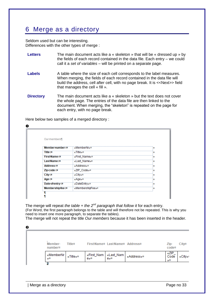# <span id="page-34-0"></span>6 Merge as a directory

Seldom used but can be interesting. Differences with the other types of merge :

- **Letters** The main document acts like a « skeleton » that will be « dressed up » by the fields of each record contained in the data file. Each entry – we could call it a *set of variables* – will be printed on a separate page.
- **Labels** A table where the size of each cell corresponds to the label measures. When merging, the fields of each record contained in the data file will build the address, cell after cell, with no page break. It is <<Next>> field that manages the cell « fill ».
- **Directory** The main document acts like a « skeleton » but the text does not cover the whole page. The entries of the data file are then linked to the document. When merging, the "skeleton" is repeated on the page for each entry, with no page break.

0 Our-members¶ Member number <= «MemberNr»¤ b **Title** <u  $x$ Title $x$ ¤ 'n First Name:# «First Name»¤ w Last Name:# «Last Name»¤ i. Address<sub>c</sub>u «Address»¤ 'n Zip-code -: ¤ «ZIP Code»¤ i. City:# «City»¤ i. Age -: ¤ «Age»¤ ø Date of entry: «DateFntry»¤ ١w Membershipfee:# «MembershipFee»<sup>®</sup> ٢

Here below two samples of a merged directory :

The merge will repeat *the table + the 2nd paragraph that follow it* for each entry. (For Word, the first paragraph belongs to the table and will therefore not be repeated. This is why you need to insert one more paragraph, to separate the tables).

The merge will not repeat the title *Our members* because it has been inserted in the header.

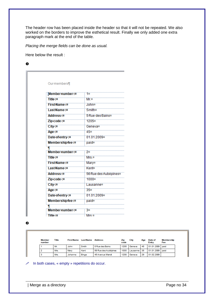The header row has been placed inside the header so that it will not be repeated. We also worked on the borders to improve the esthetical result. Finally we only added one extra paragraph mark at the end of the table.

*Placing the merge fields can be done as usual.*

Here below the result :

 $\bullet$ 

| Our-members¶           |                       |
|------------------------|-----------------------|
| Member number <=       | 1¤                    |
| Title∢¤                | Mr.¤                  |
| <b>First Name:¤</b>    | John¤                 |
| Last Name:¤            | Smith¤                |
| Address:¤              | 5 Rue-des Bains¤      |
| Zip-code-:#            | 1205¤                 |
| City:#                 | Geneva¤               |
| Age-:¤                 | 45¤                   |
| Date of entry:         | 01.01.2009¤           |
| Membershipfee:#        | paid¤                 |
| Π                      |                       |
| Member number <        | 2¤                    |
| Title <¤               | Mrs ¤                 |
| First Name:#           | Mary¤                 |
| Last Name <            | Kent¤                 |
| <b>Address:¤</b>       | 56 Rue des Aubépines¤ |
| Zip-code -: ¤          | 1000 <sub>¤</sub>     |
| City:¤                 | Lausanne¤             |
| Age -: ¤               | 35 <sub>n</sub>       |
| Date of entry:         | 01.01.2009            |
| Membershipfee:#        | paid¤                 |
| Π                      |                       |
| <b>Member numbers#</b> | 3¤                    |
| Title - ¤              | Mrs ¤                 |

 $\boldsymbol{\Theta}$ 

| <b>Member</b><br>number | Title | <b>First Name</b> | <b>LastName</b> | <b>Address</b>       | Zip<br>code | City     | Age | Date of<br>Entry | Membership<br>Fee |
|-------------------------|-------|-------------------|-----------------|----------------------|-------------|----------|-----|------------------|-------------------|
|                         | Mr.   | John              | Smith           | 5 Rue des Bains      | 1205        | Geneva   | 45  | 01.01.2009 paid  |                   |
|                         | Mrs.  | Mary              | Kent            | 56 Rue des Aubépines | 1000        | Lausanne | 35  | 01.01.2009 paid  |                   |
| з                       | Mrs.  | Johanna           | <b>Binge</b>    | 45 Avenue Wendt      | 1208        | Geneva   | 29  | 01.02.2009       |                   |

In both cases, « empty » repetitions do occur.

| Merge as a directory **Page 10** 24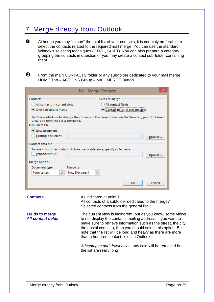# <span id="page-36-0"></span>7 Merge directly from Outlook

 $\bullet$  Although you may "export" the total list of your contacts, it is certainly preferable to select the contacts related to the required mail merge. You can use the standard Windows selecting techniques (CTRL , SHIFT). You can also prepare a category grouping the contacts in question or you may create a contact sub-folder containing them.

 From the main CONTACTS folder or any sub-folder dedicated to your mail merge : HOME Tab – ACTIONS Group – MAIL MERGE Button

|                                                          | ×<br>Mail Merge Contacts                                                                                                                                                                                                                                                                                                                                                 |
|----------------------------------------------------------|--------------------------------------------------------------------------------------------------------------------------------------------------------------------------------------------------------------------------------------------------------------------------------------------------------------------------------------------------------------------------|
| Contacts                                                 | Fields to merge                                                                                                                                                                                                                                                                                                                                                          |
| (C) All contacts in current view                         | (_) All contact fields                                                                                                                                                                                                                                                                                                                                                   |
| Only selected contacts                                   | Contact fields in current view                                                                                                                                                                                                                                                                                                                                           |
| View, and then choose a command.<br><b>Document file</b> | To filter contacts or to change the columns in the current view, on the View tab, point to Current                                                                                                                                                                                                                                                                       |
| <u>● New document</u>                                    |                                                                                                                                                                                                                                                                                                                                                                          |
| <b>Existing document:</b>                                | Browse                                                                                                                                                                                                                                                                                                                                                                   |
| Contact data file                                        |                                                                                                                                                                                                                                                                                                                                                                          |
| Permanent file:                                          | To save this contact data for future use or reference, specify a file name.<br>Browse                                                                                                                                                                                                                                                                                    |
| Merge options                                            |                                                                                                                                                                                                                                                                                                                                                                          |
| Document type:<br>Merge to:<br><b>Form Letters</b><br>v  | <b>New Document</b><br>v.                                                                                                                                                                                                                                                                                                                                                |
|                                                          | OK<br>Cancel                                                                                                                                                                                                                                                                                                                                                             |
| <b>Contacts</b>                                          | As indicated at point 1.<br>All contacts of a subfolder dedicated to the merge?<br>Selected contacts from the general list?                                                                                                                                                                                                                                              |
| <b>Fields to merge</b><br><b>All contact fields</b>      | The current view is indifferent, but as you know, some views<br>to not display the contacts mailing address. If you want to<br>make sure to retrieve information such as the street, the city,<br>the postal code ), then you should select this option. But<br>note that the list will be long and heavy as there are more<br>than a hundred contact fields in Outlook. |
|                                                          | Advantages and drawbacks : any field will be retrieved but<br>the list are really long                                                                                                                                                                                                                                                                                   |
|                                                          |                                                                                                                                                                                                                                                                                                                                                                          |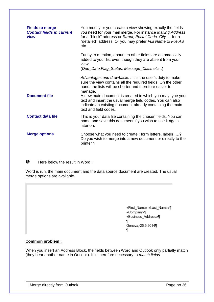| <b>Fields to merge</b><br><b>Contact fields in current</b><br>view | You modify or you create a view showing exactly the fields<br>you need for your mail merge. For instance Mailing Address<br>for a "block" address or Street, Postal Code, City for a<br>"detailed" address. Or you may prefer Full Name to File AS<br>$etc. \dots$ |
|--------------------------------------------------------------------|--------------------------------------------------------------------------------------------------------------------------------------------------------------------------------------------------------------------------------------------------------------------|
|                                                                    | Funny to mention, about ten other fields are automatically<br>added to your list even though they are absent from your<br>view                                                                                                                                     |
|                                                                    | (Due_Date, Flag_Status, Message_Class etc)                                                                                                                                                                                                                         |
| <b>Document file</b>                                               | Advantages and drawbacks : it is the user's duty to make<br>sure the view contains all the required fields. On the other<br>hand, the lists will be shorter and therefore easier to<br>manage.<br>A new main document is created in which you may type your        |
|                                                                    | text and insert the usual merge field codes. You can also<br>indicate an existing document already containing the main<br>text and field codes.                                                                                                                    |
| <b>Contact data file</b>                                           | This is your data file containing the chosen fields. You can<br>name and save this document if you wish to use it again<br>later on.                                                                                                                               |
| <b>Merge options</b>                                               | Choose what you need to create: form letters, labels ?<br>Do you wish to merge into a new document or directly to the<br>printer?                                                                                                                                  |

 $\bullet$  Here below the result in Word :

Word is run, the main document and the data source document are created. The usual merge options are available.

> «First\_Name» «Last\_Name»¶ «Company»¶ «Business\_Address»¶ 1 Geneva, 26.5.2014  $\P$

# **Common problem :**

When you insert an Address Block, the fields between Word and Outlook only partially match (they bear another name in Outlook). It is therefore necessary to *match fields*